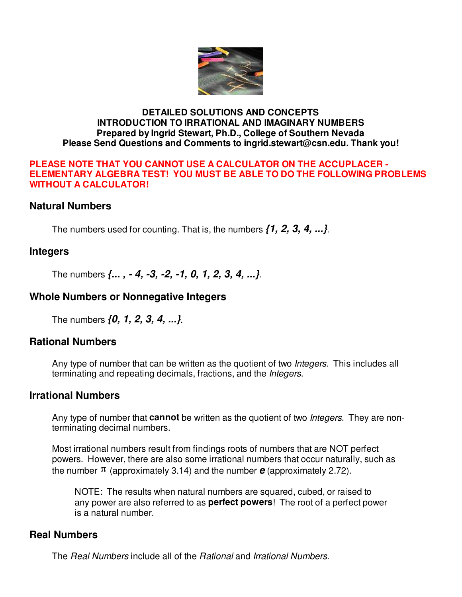

#### **DETAILED SOLUTIONS AND CONCEPTS INTRODUCTION TO IRRATIONAL AND IMAGINARY NUMBERS Prepared by Ingrid Stewart, Ph.D., College of Southern Nevada Please Send Questions and Comments to ingrid.stewart@csn.edu. Thank you!**

#### **PLEASE NOTE THAT YOU CANNOT USE A CALCULATOR ON THE ACCUPLACER - ELEMENTARY ALGEBRA TEST! YOU MUST BE ABLE TO DO THE FOLLOWING PROBLEMS WITHOUT A CALCULATOR!**

## **Natural Numbers**

The numbers used for counting. That is, the numbers **{1, 2, 3, 4, ...}**.

## **Integers**

The numbers **{... , - 4, -3, -2, -1, 0, 1, 2, 3, 4, ...}**.

## **Whole Numbers or Nonnegative Integers**

The numbers **{0, 1, 2, 3, 4, ...}**.

## **Rational Numbers**

Any type of number that can be written as the quotient of two *Integers*. This includes all terminating and repeating decimals, fractions, and the *Integers*.

## **Irrational Numbers**

Any type of number that **cannot** be written as the quotient of two Integers. They are nonterminating decimal numbers.

Most irrational numbers result from findings roots of numbers that are NOT perfect powers. However, there are also some irrational numbers that occur naturally, such as the number  $\pi$  (approximately 3.14) and the number  $e$  (approximately 2.72).

NOTE: The results when natural numbers are squared, cubed, or raised to any power are also referred to as **perfect powers**! The root of a perfect power is a natural number.

## **Real Numbers**

The Real Numbers include all of the Rational and Irrational Numbers.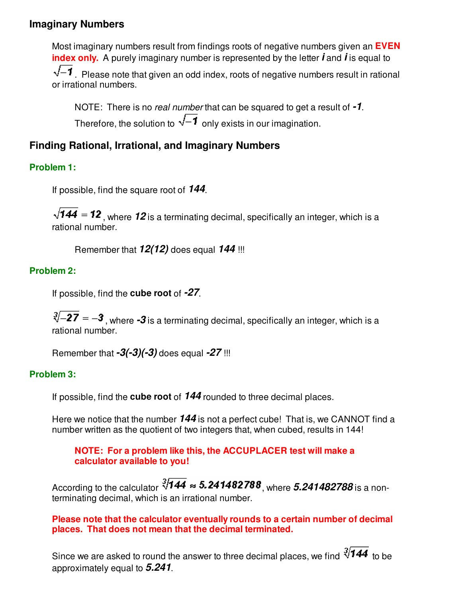# **Imaginary Numbers**

Most imaginary numbers result from findings roots of negative numbers given an **EVEN index only.** A purely imaginary number is represented by the letter **i** and **i** is equal to  $\sqrt{-1}$ . Please note that given an odd index, roots of negative numbers result in rational or irrational numbers.

NOTE: There is no real number that can be squared to get a result of **-1**. Therefore, the solution to  $\sqrt{-1}$  only exists in our imagination.

# **Finding Rational, Irrational, and Imaginary Numbers**

## **Problem 1:**

If possible, find the square root of **144**.

 $\sqrt{144}$  = 12, where 12 is a terminating decimal, specifically an integer, which is a rational number.

Remember that **12(12)** does equal **144** !!!

## **Problem 2:**

If possible, find the **cube root** of **-27**.

 $\sqrt[3]{-27} = -3$ , where  $-3$  is a terminating decimal, specifically an integer, which is a rational number.

Remember that **-3(-3)(-3)** does equal **-27** !!!

#### **Problem 3:**

If possible, find the **cube root** of **144** rounded to three decimal places.

Here we notice that the number **144** is not a perfect cube! That is, we CANNOT find a number written as the quotient of two integers that, when cubed, results in 144!

#### **NOTE: For a problem like this, the ACCUPLACER test will make a calculator available to you!**

According to the calculator  $\sqrt[3]{144} \approx 5.241482788$ , where  $5.241482788$  is a nonterminating decimal, which is an irrational number.

**Please note that the calculator eventually rounds to a certain number of decimal places. That does not mean that the decimal terminated.** 

Since we are asked to round the answer to three decimal places, we find  $\sqrt[3]{144}$  to be approximately equal to **5.241**.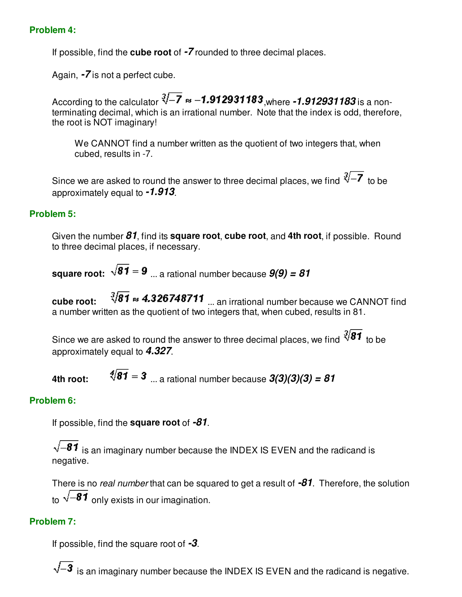#### **Problem 4:**

If possible, find the **cube root** of **-7** rounded to three decimal places.

Again, **-7** is not a perfect cube.

According to the calculator  $\sqrt[3]{-7} \approx -1.912931183$ , where  $-1.912931183$  is a nonterminating decimal, which is an irrational number. Note that the index is odd, therefore, the root is NOT imaginary!

We CANNOT find a number written as the quotient of two integers that, when cubed, results in -7.

Since we are asked to round the answer to three decimal places, we find  $\sqrt[3]{-7}$  to be approximately equal to **-1.913**.

#### **Problem 5:**

Given the number **81**, find its **square root**, **cube root**, and **4th root**, if possible. Round to three decimal places, if necessary.

**square root:**  $\sqrt{81} = 9$  ... a rational number because  $9(9) = 81$ 

**cube root:**  $\sqrt[3]{81} \approx 4.326748711$  ... an irrational number because we CANNOT find a number written as the quotient of two integers that, when cubed, results in 81.

Since we are asked to round the answer to three decimal places, we find  $\sqrt[3]{81}$  to be approximately equal to **4.327**.

**4th root:**  $\sqrt[4]{81} = 3$  ... a rational number because  $3(3)(3)(3) = 81$ 

## **Problem 6:**

If possible, find the **square root** of **-81**.

 $\sqrt{-81}$  is an imaginary number because the INDEX IS EVEN and the radicand is negative.

There is no real number that can be squared to get a result of **-81**. Therefore, the solution to  $\sqrt{-81}$  only exists in our imagination.

# **Problem 7:**

If possible, find the square root of **-3**.

 $\sqrt{-3}$  is an imaginary number because the INDEX IS EVEN and the radicand is negative.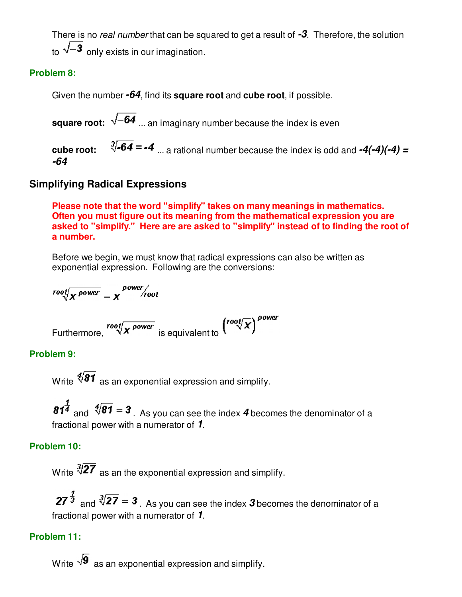There is no real number that can be squared to get a result of **-3**. Therefore, the solution to  $\sqrt{-3}$  only exists in our imagination.

## **Problem 8:**

Given the number **-64**, find its **square root** and **cube root**, if possible.

**square root:**  $\sqrt{-64}$  ... an imaginary number because the index is even

**cube root:**  $\sqrt[3]{-64} = -4$  ... a rational number because the index is odd and  $-4(-4)(-4) =$ **-64**

# **Simplifying Radical Expressions**

**Please note that the word "simplify" takes on many meanings in mathematics. Often you must figure out its meaning from the mathematical expression you are asked to "simplify." Here are are asked to "simplify" instead of to finding the root of a number.**

Before we begin, we must know that radical expressions can also be written as exponential expression. Following are the conversions:

$$
root / \overline{X^{power}} = \overline{X}^{power} / root
$$

Furthermore,  $\sqrt{\frac{root}{x}}$  power is equivalent to  $\left(\sqrt{row{f}}\right)^{power}$ 

## **Problem 9:**

Write  $\sqrt[4]{81}$  as an exponential expression and simplify.

 $81^{\frac{1}{4}}$  and  $\sqrt[4]{81} = 3$ . As you can see the index 4 becomes the denominator of a fractional power with a numerator of **1**.

## **Problem 10:**

Write  $\sqrt[3]{27}$  as an the exponential expression and simplify.

 $27^{\frac{1}{3}}$  and  $\sqrt[3]{27}$  = 3. As you can see the index 3 becomes the denominator of a fractional power with a numerator of **1**.

## **Problem 11:**

Write  $\sqrt{9}$  as an exponential expression and simplify.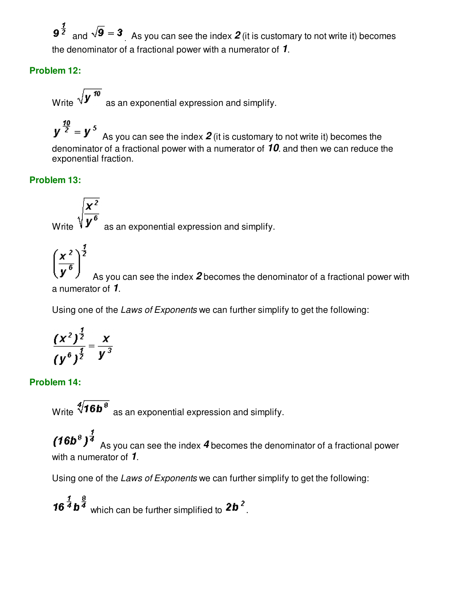$9^{\frac{1}{2}}$  and  $\sqrt{9}$  = 3 As you can see the index 2 (it is customary to not write it) becomes the denominator of a fractional power with a numerator of **1**.

# **Problem 12:**

Write  $\sqrt{\mathbf{y}^{10}}$  as an exponential expression and simplify.

 $y^{\frac{10}{2}} = y^5$  As you can see the index **2** (it is customary to not write it) becomes the denominator of a fractional power with a numerator of **10**. and then we can reduce the exponential fraction.

# **Problem 13:**

Write  $\sqrt{\frac{\mathbf{x}^2}{\mathbf{y}^6}}$  as an exponential expression and simplify.



 $\left(\frac{x^2}{y^6}\right)^{\frac{1}{2}}$  As you can see the index 2 becomes the denominator of a fractional power with a numerator of **1**.

Using one of the Laws of Exponents we can further simplify to get the following:

$$
\frac{(x^2)^{\frac{1}{2}}}{(y^6)^{\frac{1}{2}}} = \frac{x}{y^3}
$$

# **Problem 14:**

Write  $\sqrt[4]{16b^8}$  as an exponential expression and simplify.

 $(16b<sup>8</sup>)<sup>1/3</sup>$  As you can see the index 4 becomes the denominator of a fractional power with a numerator of **1**.

Using one of the Laws of Exponents we can further simplify to get the following:

**16**  $\frac{1}{4}$  **b**  $\frac{3}{4}$  which can be further simplified to **2b**<sup>2</sup>.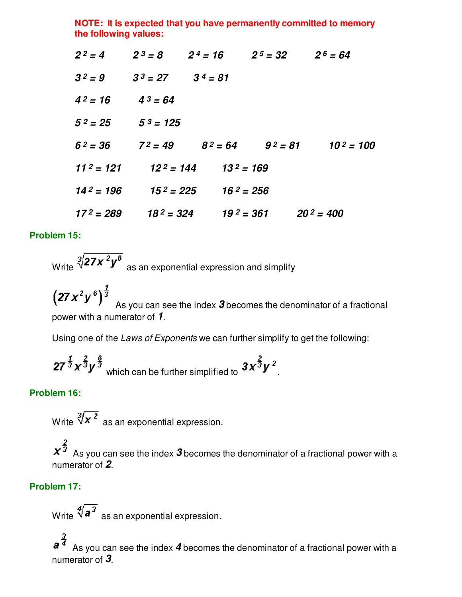**NOTE: It is expected that you have permanently committed to memory the following values:**

|                       |                       |                           | $2^2 = 4$ $2^3 = 8$ $2^4 = 16$ $2^5 = 32$ $2^6 = 64$ |                                               |
|-----------------------|-----------------------|---------------------------|------------------------------------------------------|-----------------------------------------------|
| $3^2 = 9$             | $3^3 = 27$ $3^4 = 81$ |                           |                                                      |                                               |
| $4^2 = 16$            | $4^3 = 64$            |                           |                                                      |                                               |
| $5^2 = 25$            | $5^3$ = 125           |                           |                                                      |                                               |
| $6^2 = 36$            |                       |                           |                                                      | $7^2 = 49$ $8^2 = 64$ $9^2 = 81$ $10^2 = 100$ |
| $112 = 121$           |                       | $12^2 = 144$ $13^2 = 169$ |                                                      |                                               |
| 14 <sup>2</sup> = 196 |                       | $15^2 = 225$ $16^2 = 256$ |                                                      |                                               |
| $17^2 = 289$          |                       |                           | $18^2 = 324$ $19^2 = 361$ $20^2 = 400$               |                                               |

#### **Problem 15:**

Write  $\sqrt[3]{27x^2y^6}$  as an exponential expression and simplify

 $\left(27\,x^2y^6\right)^{\frac{1}{3}}$  As you can see the index **3** becomes the denominator of a fractional power with a numerator of **1**.

Using one of the Laws of Exponents we can further simplify to get the following:

$$
\boldsymbol{27^{\frac{1}{3}}x^{\frac{2}{3}}y^{\frac{6}{3}}}
$$
 which can be further simplified to 
$$
\boldsymbol{3x^{\frac{2}{3}}y^2}
$$
.

#### **Problem 16:**

Write  $\sqrt[3]{x^2}$  as an exponential expression.

 $x^{\frac{2}{3}}$  As you can see the index  $\boldsymbol{3}$  becomes the denominator of a fractional power with a numerator of **2**.

#### **Problem 17:**

Write  $\sqrt[4]{a^3}$  as an exponential expression.

 As you can see the index **4** becomes the denominator of a fractional power with a numerator of **3**.